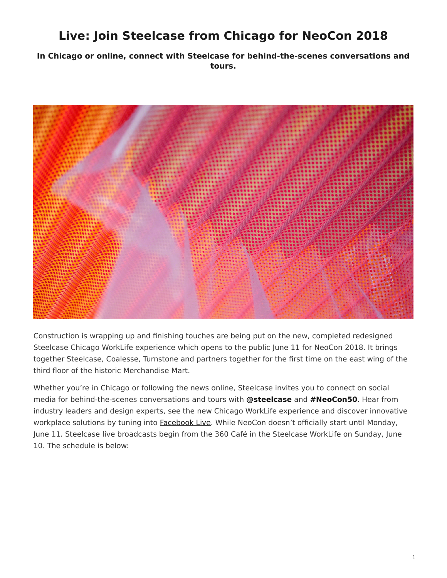# <span id="page-0-0"></span>**Live: Join Steelcase from Chicago for NeoCon 2018**

**In Chicago or online, connect with Steelcase for behind-the-scenes conversations and tours.**



Construction is wrapping up and finishing touches are being put on the new, completed redesigned Steelcase Chicago WorkLife experience which opens to the public June 11 for NeoCon 2018. It brings together Steelcase, Coalesse, Turnstone and partners together for the first time on the east wing of the third floor of the historic Merchandise Mart.

Whether you're in Chicago or following the news online, Steelcase invites you to connect on social media for behind-the-scenes conversations and tours with **@steelcase** and **#NeoCon50**. Hear from industry leaders and design experts, see the new Chicago WorkLife experience and discover innovative workplace solutions by tuning into [Facebook Live.](http://www.facebook.com/steelcase) While NeoCon doesn't officially start until Monday, June 11. Steelcase live broadcasts begin from the 360 Café in the Steelcase WorkLife on Sunday, June 10. The schedule is below: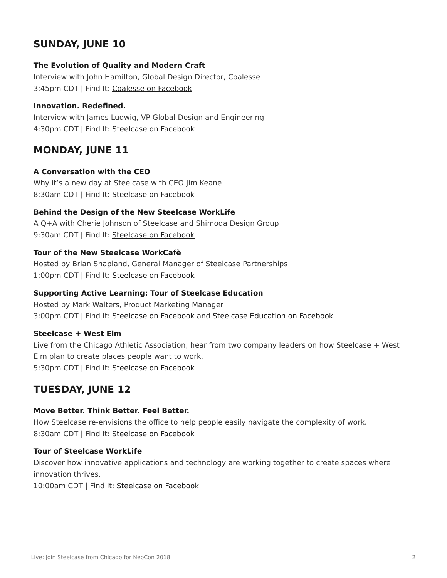# **SUNDAY, JUNE 10**

#### **The Evolution of Quality and Modern Craft**

Interview with John Hamilton, Global Design Director, Coalesse 3:45pm CDT | Find It: [Coalesse on Facebook](http://facebook.com/coalesse)

#### **Innovation. Redefined.**

Interview with James Ludwig, VP Global Design and Engineering 4:30pm CDT | Find It: [Steelcase on Facebook](http://facebook.com/steelcase)

### **MONDAY, JUNE 11**

#### **A Conversation with the CEO**

Why it's a new day at Steelcase with CEO Jim Keane 8:30am CDT | Find It: [Steelcase on Facebook](http://facebook.com/steelcase)

#### **Behind the Design of the New Steelcase WorkLife**

A Q+A with Cherie Johnson of Steelcase and Shimoda Design Group 9:30am CDT | Find It: [Steelcase on Facebook](http://facebook.com/steelcase)

#### **Tour of the New Steelcase WorkCafè**

Hosted by Brian Shapland, General Manager of Steelcase Partnerships 1:00pm CDT | Find It: [Steelcase on Facebook](http://facebook.com/steelcase)

#### **Supporting Active Learning: Tour of Steelcase Education**

Hosted by Mark Walters, Product Marketing Manager 3:00pm CDT | Find It: [Steelcase on Facebook](http://facebook.com/steelcase) and [Steelcase Education on Facebook](https://www.facebook.com/SteelcaseEducation/)

#### **Steelcase + West Elm**

Live from the Chicago Athletic Association, hear from two company leaders on how Steelcase + West Elm plan to create places people want to work. 5:30pm CDT | Find It: [Steelcase on Facebook](http://facebook.com/steelcase)

## **TUESDAY, JUNE 12**

#### **Move Better. Think Better. Feel Better.**

How Steelcase re-envisions the office to help people easily navigate the complexity of work. 8:30am CDT | Find It: [Steelcase on Facebook](http://facebook.com/steelcase)

#### **Tour of Steelcase WorkLife**

Discover how innovative applications and technology are working together to create spaces where innovation thrives.

10:00am CDT | Find It: [Steelcase on Facebook](http://facebook.com/steelcase)